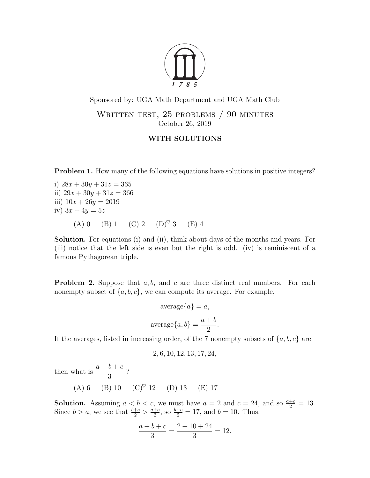

Sponsored by: UGA Math Department and UGA Math Club WRITTEN TEST, 25 PROBLEMS / 90 MINUTES

October 26, 2019

## WITH SOLUTIONS

**Problem 1.** How many of the following equations have solutions in positive integers?

i)  $28x + 30y + 31z = 365$ ii)  $29x + 30y + 31z = 366$ iii)  $10x + 26y = 2019$ iv)  $3x + 4y = 5z$ (A) 0 (B) 1 (C) 2 (D)<sup> $\heartsuit$ </sup> 3 (E) 4

Solution. For equations (i) and (ii), think about days of the months and years. For (iii) notice that the left side is even but the right is odd. (iv) is reminiscent of a famous Pythagorean triple.

**Problem 2.** Suppose that  $a, b$ , and  $c$  are three distinct real numbers. For each nonempty subset of  $\{a, b, c\}$ , we can compute its average. For example,

$$
\text{average}\{a\} = a,
$$
\n
$$
\text{average}\{a, b\} = \frac{a+b}{2}.
$$

If the averages, listed in increasing order, of the 7 nonempty subsets of  $\{a, b, c\}$  are

$$
2, 6, 10, 12, 13, 17, 24,
$$

then what is  $\frac{a+b+c}{2}$ 3 ?

(A) 6 (B) 10 (C)♥ 12 (D) 13 (E) 17

**Solution.** Assuming  $a < b < c$ , we must have  $a = 2$  and  $c = 24$ , and so  $\frac{a+c}{2} = 13$ . Since  $b > a$ , we see that  $\frac{b+c}{2} > \frac{a+c}{2}$  $\frac{+c}{2}$ , so  $\frac{b+c}{2} = 17$ , and  $b = 10$ . Thus,

$$
\frac{a+b+c}{3} = \frac{2+10+24}{3} = 12.
$$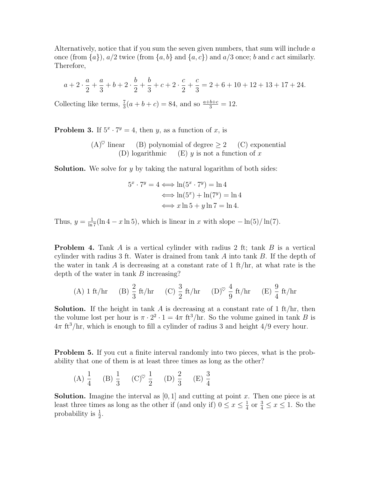Alternatively, notice that if you sum the seven given numbers, that sum will include a once (from  $\{a\}$ ),  $a/2$  twice (from  $\{a, b\}$  and  $\{a, c\}$ ) and  $a/3$  once; b and c act similarly. Therefore,

$$
a+2\cdot\frac{a}{2}+\frac{a}{3}+b+2\cdot\frac{b}{2}+\frac{b}{3}+c+2\cdot\frac{c}{2}+\frac{c}{3}=2+6+10+12+13+17+24.
$$

Collecting like terms,  $\frac{7}{3}(a+b+c) = 84$ , and so  $\frac{a+b+c}{3} = 12$ .

**Problem 3.** If  $5^x \cdot 7^y = 4$ , then y, as a function of x, is

 $(A)^\heartsuit$  linear (B) polynomial of degree  $\geq 2$  (C) exponential (D) logarithmic (E)  $y$  is not a function of x

**Solution.** We solve for y by taking the natural logarithm of both sides:

$$
5^x \cdot 7^y = 4 \iff \ln(5^x \cdot 7^y) = \ln 4
$$
  

$$
\iff \ln(5^x) + \ln(7^y) = \ln 4
$$
  

$$
\iff x \ln 5 + y \ln 7 = \ln 4.
$$

Thus,  $y = \frac{1}{\ln 7}(\ln 4 - x \ln 5)$ , which is linear in x with slope  $-\ln(5)/\ln(7)$ .

**Problem 4.** Tank A is a vertical cylinder with radius 2 ft; tank  $B$  is a vertical cylinder with radius 3 ft. Water is drained from tank A into tank B. If the depth of the water in tank  $A$  is decreasing at a constant rate of 1 ft/hr, at what rate is the depth of the water in tank B increasing?

(A) 1 ft/hr (B) 
$$
\frac{2}{3}
$$
 ft/hr (C)  $\frac{3}{2}$  ft/hr (D)<sup>°</sup>  $\frac{4}{9}$  ft/hr (E)  $\frac{9}{4}$  ft/hr

**Solution.** If the height in tank A is decreasing at a constant rate of  $1 \text{ ft/hr}$ , then the volume lost per hour is  $\pi \cdot 2^2 \cdot 1 = 4\pi$  ft<sup>3</sup>/hr. So the volume gained in tank B is  $4\pi$  ft<sup>3</sup>/hr, which is enough to fill a cylinder of radius 3 and height  $4/9$  every hour.

Problem 5. If you cut a finite interval randomly into two pieces, what is the probability that one of them is at least three times as long as the other?

(A) 
$$
\frac{1}{4}
$$
 (B)  $\frac{1}{3}$  (C)<sup>°</sup>  $\frac{1}{2}$  (D)  $\frac{2}{3}$  (E)  $\frac{3}{4}$ 

**Solution.** Imagine the interval as  $[0, 1]$  and cutting at point x. Then one piece is at least three times as long as the other if (and only if)  $0 \le x \le \frac{1}{4}$  $\frac{1}{4}$  or  $\frac{3}{4} \leq x \leq 1$ . So the probability is  $\frac{1}{2}$ .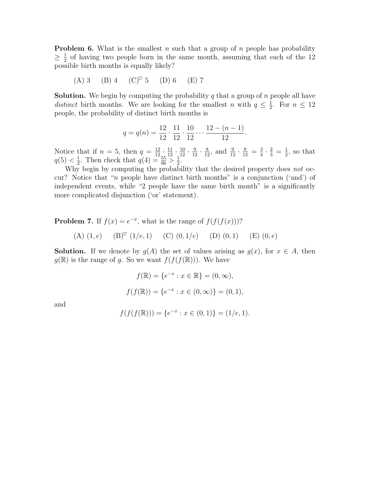**Problem 6.** What is the smallest n such that a group of n people has probability  $\geq \frac{1}{2}$  $\frac{1}{2}$  of having two people born in the same month, assuming that each of the 12 possible birth months is equally likely?

(A) 3 (B) 4 (C)<sup> $\heartsuit$ </sup> 5 (D) 6 (E) 7

**Solution.** We begin by computing the probability  $q$  that a group of  $n$  people all have distinct birth months. We are looking for the smallest n with  $q \leq \frac{1}{2}$  $\frac{1}{2}$ . For  $n \leq 12$ people, the probability of distinct birth months is

$$
q = q(n) = \frac{12}{12} \cdot \frac{11}{12} \cdot \frac{10}{12} \cdot \dots \cdot \frac{12 - (n-1)}{12}.
$$

Notice that if  $n = 5$ , then  $q = \frac{12}{12} \cdot \frac{11}{12} \cdot \frac{10}{12} \cdot \frac{9}{12} \cdot \frac{8}{12}$ , and  $\frac{9}{12} \cdot \frac{8}{12} = \frac{3}{4}$  $\frac{3}{4} \cdot \frac{2}{3} = \frac{1}{2}$  $\frac{1}{2}$ , so that  $q(5) < \frac{1}{2}$  $\frac{1}{2}$ . Then check that  $q(4) = \frac{55}{96} > \frac{1}{2}$  $\frac{1}{2}$ .

Why begin by computing the probability that the desired property does not occur? Notice that "n people have distinct birth months" is a conjunction ('and') of independent events, while "2 people have the same birth month" is a significantly more complicated disjunction ('or' statement).

**Problem 7.** If  $f(x) = e^{-x}$ , what is the range of  $f(f(f(x)))$ ?

(A)  $(1, e)$  (B)<sup> $\heartsuit$ </sup> (1/e, 1) (C)  $(0, 1/e)$  (D)  $(0, 1)$  (E)  $(0, e)$ 

**Solution.** If we denote by  $g(A)$  the set of values arising as  $g(x)$ , for  $x \in A$ , then  $g(\mathbb{R})$  is the range of g. So we want  $f(f(f(\mathbb{R})))$ . We have

$$
f(\mathbb{R}) = \{e^{-x} : x \in \mathbb{R}\} = (0, \infty),
$$

$$
f(f(\mathbb{R})) = \{e^{-x} : x \in (0, \infty)\} = (0, 1),
$$

and

$$
f(f(f(\mathbb{R}))) = \{e^{-x} : x \in (0,1)\} = (1/e, 1).
$$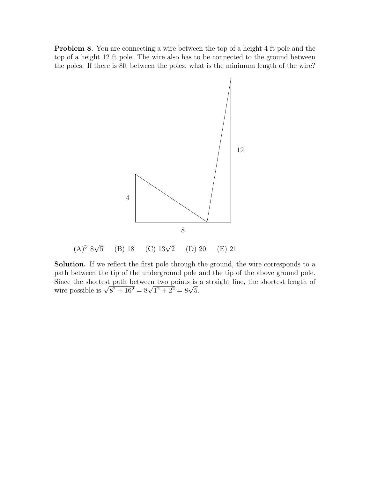**Problem 8.** You are connecting a wire between the top of a height 4 ft pole and the top of a height 12 ft pole. The wire also has to be connected to the ground between the poles. If there is 8ft between the poles, what is the minimum length of the wire?



Solution. If we reflect the first pole through the ground, the wire corresponds to a path between the tip of the underground pole and the tip of the above ground pole. Since the shortest path between two points is a straight line, the shortest length of wire possible is  $\sqrt{8^2 + 16^2} = 8\sqrt{1^2 + 2^2} = 8\sqrt{5}$ .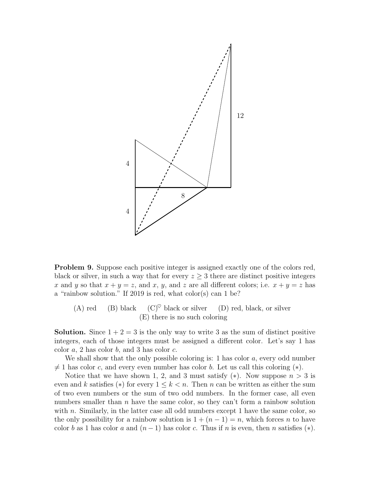

**Problem 9.** Suppose each positive integer is assigned exactly one of the colors red, black or silver, in such a way that for every  $z \geq 3$  there are distinct positive integers x and y so that  $x + y = z$ , and x, y, and z are all different colors; i.e.  $x + y = z$  has a "rainbow solution." If 2019 is red, what color(s) can 1 be?

(A) red (B) black  $(C)^\heartsuit$  black or silver (D) red, black, or silver (E) there is no such coloring

**Solution.** Since  $1+2=3$  is the only way to write 3 as the sum of distinct positive integers, each of those integers must be assigned a different color. Let's say 1 has color  $a, 2$  has color  $b,$  and 3 has color  $c.$ 

We shall show that the only possible coloring is: 1 has color  $a$ , every odd number  $\neq$  1 has color c, and every even number has color b. Let us call this coloring (\*).

Notice that we have shown 1, 2, and 3 must satisfy  $(*)$ . Now suppose  $n > 3$  is even and k satisfies (\*) for every  $1 \leq k < n$ . Then n can be written as either the sum of two even numbers or the sum of two odd numbers. In the former case, all even numbers smaller than  $n$  have the same color, so they can't form a rainbow solution with  $n$ . Similarly, in the latter case all odd numbers except 1 have the same color, so the only possibility for a rainbow solution is  $1 + (n - 1) = n$ , which forces n to have color b as 1 has color a and  $(n-1)$  has color c. Thus if n is even, then n satisfies  $(*)$ .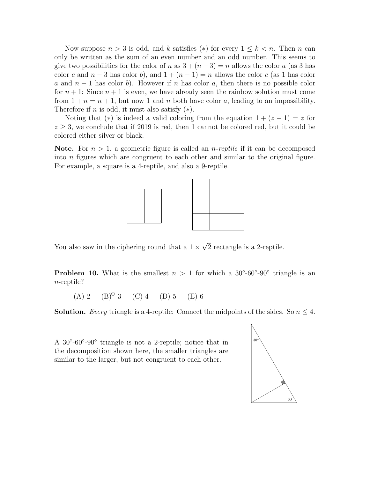Now suppose  $n > 3$  is odd, and k satisfies (\*) for every  $1 \leq k < n$ . Then n can only be written as the sum of an even number and an odd number. This seems to give two possibilities for the color of n as  $3 + (n-3) = n$  allows the color a (as 3 has color c and  $n-3$  has color b), and  $1 + (n-1) = n$  allows the color c (as 1 has color a and  $n-1$  has color b). However if n has color a, then there is no possible color for  $n+1$ : Since  $n+1$  is even, we have already seen the rainbow solution must come from  $1 + n = n + 1$ , but now 1 and n both have color a, leading to an impossibility. Therefore if *n* is odd, it must also satisfy  $(*).$ 

Noting that (\*) is indeed a valid coloring from the equation  $1 + (z - 1) = z$  for  $z \geq 3$ , we conclude that if 2019 is red, then 1 cannot be colored red, but it could be colored either silver or black.

**Note.** For  $n > 1$ , a geometric figure is called an *n*-reptile if it can be decomposed into n figures which are congruent to each other and similar to the original figure. For example, a square is a 4-reptile, and also a 9-reptile.



You also saw in the ciphering round that a  $1 \times$ √ 2 rectangle is a 2-reptile.

**Problem 10.** What is the smallest  $n > 1$  for which a 30°-60°-90° triangle is an n-reptile?

 $(A) 2 \t (B)^\heartsuit 3 \t (C) 4 \t (D) 5 \t (E) 6$ 

**Solution.** Every triangle is a 4-reptile: Connect the midpoints of the sides. So  $n \leq 4$ .

A 30°-60°-90° triangle is not a 2-reptile; notice that in the decomposition shown here, the smaller triangles are similar to the larger, but not congruent to each other.

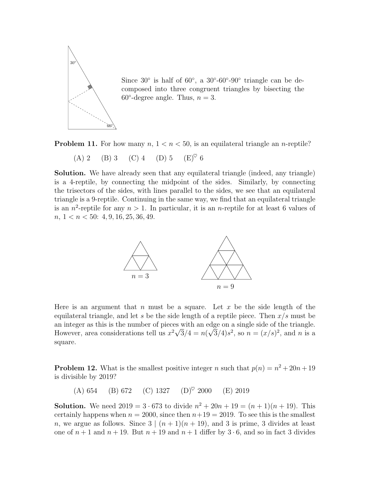

Since  $30^\circ$  is half of  $60^\circ$ , a  $30^\circ$ - $60^\circ$ - $90^\circ$  triangle can be decomposed into three congruent triangles by bisecting the  $60^\circ$ -degree angle. Thus,  $n = 3$ .



(A) 2 (B) 3 (C) 4 (D) 5 (E)♥ 6

Solution. We have already seen that any equilateral triangle (indeed, any triangle) is a 4-reptile, by connecting the midpoint of the sides. Similarly, by connecting the trisectors of the sides, with lines parallel to the sides, we see that an equilateral triangle is a 9-reptile. Continuing in the same way, we find that an equilateral triangle is an  $n^2$ -reptile for any  $n > 1$ . In particular, it is an *n*-reptile for at least 6 values of  $n, 1 < n < 50$ : 4, 9, 16, 25, 36, 49.



Here is an argument that n must be a square. Let x be the side length of the equilateral triangle, and let s be the side length of a reptile piece. Then  $x/s$  must be an integer as this is the number of pieces with an edge on a single side of the triangle. However, area considerations tell us  $x^2\sqrt{3}/4 = n(\sqrt{3}/4)s^2$ , so  $n = (x/s)^2$ , and n is a square.

<span id="page-6-0"></span>**Problem 12.** What is the smallest positive integer n such that  $p(n) = n^2 + 20n + 19$ is divisible by 2019?

(A) 654 (B) 672 (C) 1327 (D)<sup> $\heartsuit$ </sup> 2000 (E) 2019

**Solution.** We need  $2019 = 3 \cdot 673$  to divide  $n^2 + 20n + 19 = (n+1)(n+19)$ . This certainly happens when  $n = 2000$ , since then  $n+19 = 2019$ . To see this is the smallest n, we argue as follows. Since  $3 \mid (n+1)(n+19)$ , and 3 is prime, 3 divides at least one of  $n + 1$  and  $n + 19$ . But  $n + 19$  and  $n + 1$  differ by  $3 \cdot 6$ , and so in fact 3 divides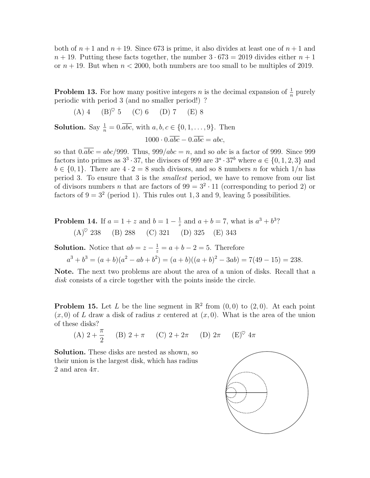both of  $n+1$  and  $n+19$ . Since 673 is prime, it also divides at least one of  $n+1$  and  $n + 19$ . Putting these facts together, the number  $3 \cdot 673 = 2019$  divides either  $n + 1$ or  $n + 19$ . But when  $n < 2000$ , both numbers are too small to be multiples of 2019.

**Problem 13.** For how many positive integers *n* is the decimal expansion of  $\frac{1}{n}$  purely periodic with period 3 (and no smaller period!) ?

 $(A) 4 (B)^\heartsuit 5 (C) 6 (D) 7 (E) 8$ 

**Solution.** Say  $\frac{1}{n} = 0.\overline{abc}$ , with  $a, b, c \in \{0, 1, \ldots, 9\}$ . Then

$$
1000 \cdot 0.\overline{abc} - 0.\overline{abc} = abc,
$$

so that  $0.\overline{abc} = abc/999$ . Thus,  $999/abc = n$ , and so abc is a factor of 999. Since 999 factors into primes as  $3^3 \cdot 37$ , the divisors of 999 are  $3^a \cdot 37^b$  where  $a \in \{0, 1, 2, 3\}$  and  $b \in \{0, 1\}$ . There are  $4 \cdot 2 = 8$  such divisors, and so 8 numbers *n* for which  $1/n$  has period 3. To ensure that 3 is the smallest period, we have to remove from our list of divisors numbers *n* that are factors of  $99 = 3^2 \cdot 11$  (corresponding to period 2) or factors of  $9 = 3^2$  (period 1). This rules out 1, 3 and 9, leaving 5 possibilities.

**Problem 14.** If 
$$
a = 1 + z
$$
 and  $b = 1 - \frac{1}{z}$  and  $a + b = 7$ , what is  $a^3 + b^3$ ?  
\n(A)<sup>°</sup> 238 (B) 288 (C) 321 (D) 325 (E) 343

**Solution.** Notice that  $ab = z - \frac{1}{z} = a + b - 2 = 5$ . Therefore

 $a^{3} + b^{3} = (a + b)(a^{2} - ab + b^{2}) = (a + b)((a + b)^{2} - 3ab) = 7(49 - 15) = 238.$ 

Note. The next two problems are about the area of a union of disks. Recall that a disk consists of a circle together with the points inside the circle.

**Problem 15.** Let L be the line segment in  $\mathbb{R}^2$  from  $(0,0)$  to  $(2,0)$ . At each point  $(x, 0)$  of L draw a disk of radius x centered at  $(x, 0)$ . What is the area of the union of these disks?

(A) 
$$
2 + \frac{\pi}{2}
$$
 (B)  $2 + \pi$  (C)  $2 + 2\pi$  (D)  $2\pi$  (E)<sup>°</sup>  $4\pi$ 

Solution. These disks are nested as shown, so their union is the largest disk, which has radius 2 and area  $4\pi$ .

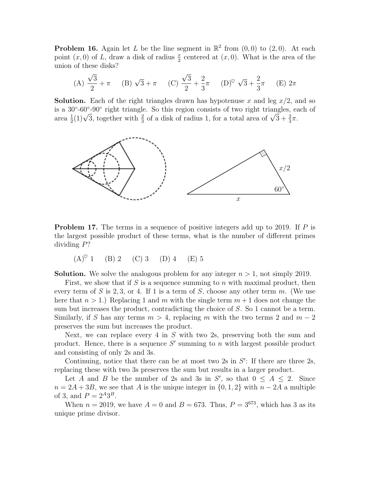**Problem 16.** Again let L be the line segment in  $\mathbb{R}^2$  from  $(0,0)$  to  $(2,0)$ . At each point  $(x, 0)$  of L, draw a disk of radius  $\frac{x}{2}$  centered at  $(x, 0)$ . What is the area of the union of these disks?

(A) 
$$
\frac{\sqrt{3}}{2} + \pi
$$
 (B)  $\sqrt{3} + \pi$  (C)  $\frac{\sqrt{3}}{2} + \frac{2}{3}\pi$  (D)<sup>°</sup>  $\sqrt{3} + \frac{2}{3}\pi$  (E)  $2\pi$ 

**Solution.** Each of the right triangles drawn has hypotenuse x and leg  $x/2$ , and so is a 30<sup>°</sup>-60<sup>°</sup>-90<sup>°</sup> right triangle. So this region consists of two right triangles, each of is a 30'-60'-90' right triangle. So this region consists of two right triangles, earea  $\frac{1}{2}(1)\sqrt{3}$ , together with  $\frac{2}{3}$  of a disk of radius 1, for a total area of  $\sqrt{3} + \frac{2}{3}\pi$ .



**Problem 17.** The terms in a sequence of positive integers add up to 2019. If  $P$  is the largest possible product of these terms, what is the number of different primes dividing P?

 $(A)^\heartsuit$  1 (B) 2 (C) 3 (D) 4 (E) 5

**Solution.** We solve the analogous problem for any integer  $n > 1$ , not simply 2019.

First, we show that if S is a sequence summing to n with maximal product, then every term of S is 2, 3, or 4. If 1 is a term of S, choose any other term m. (We use here that  $n > 1$ .) Replacing 1 and m with the single term  $m + 1$  does not change the sum but increases the product, contradicting the choice of S. So 1 cannot be a term. Similarly, if S has any terms  $m > 4$ , replacing m with the two terms 2 and  $m-2$ preserves the sum but increases the product.

Next, we can replace every 4 in  $S$  with two 2s, preserving both the sum and product. Hence, there is a sequence  $S'$  summing to n with largest possible product and consisting of only 2s and 3s.

Continuing, notice that there can be at most two  $2s$  in  $S'$ : If there are three  $2s$ , replacing these with two 3s preserves the sum but results in a larger product.

Let A and B be the number of 2s and 3s in S', so that  $0 \leq A \leq 2$ . Since  $n = 2A + 3B$ , we see that A is the unique integer in  $\{0, 1, 2\}$  with  $n - 2A$  a multiple of 3, and  $P = 2^{A}3^{B}$ .

When  $n = 2019$ , we have  $A = 0$  and  $B = 673$ . Thus,  $P = 3^{673}$ , which has 3 as its unique prime divisor.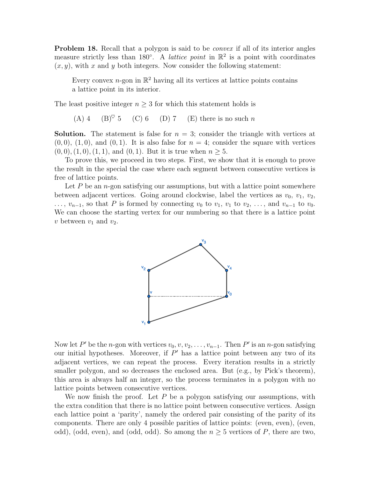**Problem 18.** Recall that a polygon is said to be *convex* if all of its interior angles measure strictly less than 180°. A *lattice point* in  $\mathbb{R}^2$  is a point with coordinates  $(x, y)$ , with x and y both integers. Now consider the following statement:

Every convex *n*-gon in  $\mathbb{R}^2$  having all its vertices at lattice points contains a lattice point in its interior.

The least positive integer  $n \geq 3$  for which this statement holds is

(A) 4 (B)<sup> $\heartsuit$ </sup> 5 (C) 6 (D) 7 (E) there is no such n

**Solution.** The statement is false for  $n = 3$ ; consider the triangle with vertices at  $(0, 0), (1, 0),$  and  $(0, 1)$ . It is also false for  $n = 4$ ; consider the square with vertices  $(0, 0), (1, 0), (1, 1),$  and  $(0, 1)$ . But it is true when  $n \geq 5$ .

To prove this, we proceed in two steps. First, we show that it is enough to prove the result in the special the case where each segment between consecutive vertices is free of lattice points.

Let  $P$  be an n-gon satisfying our assumptions, but with a lattice point somewhere between adjacent vertices. Going around clockwise, label the vertices as  $v_0, v_1, v_2$ ,  $\ldots, v_{n-1}$ , so that P is formed by connecting  $v_0$  to  $v_1, v_1$  to  $v_2, \ldots$ , and  $v_{n-1}$  to  $v_0$ . We can choose the starting vertex for our numbering so that there is a lattice point v between  $v_1$  and  $v_2$ .



Now let P' be the n-gon with vertices  $v_0, v, v_2, \ldots, v_{n-1}$ . Then P' is an n-gon satisfying our initial hypotheses. Moreover, if  $P'$  has a lattice point between any two of its adjacent vertices, we can repeat the process. Every iteration results in a strictly smaller polygon, and so decreases the enclosed area. But (e.g., by Pick's theorem), this area is always half an integer, so the process terminates in a polygon with no lattice points between consecutive vertices.

We now finish the proof. Let  $P$  be a polygon satisfying our assumptions, with the extra condition that there is no lattice point between consecutive vertices. Assign each lattice point a 'parity', namely the ordered pair consisting of the parity of its components. There are only 4 possible parities of lattice points: (even, even), (even, odd), (odd, even), and (odd, odd). So among the  $n \geq 5$  vertices of P, there are two,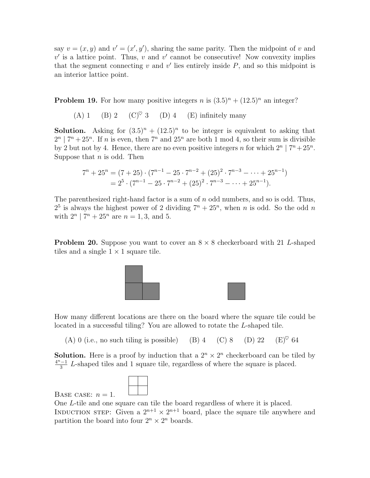say  $v = (x, y)$  and  $v' = (x', y')$ , sharing the same parity. Then the midpoint of v and  $v'$  is a lattice point. Thus,  $v$  and  $v'$  cannot be consecutive! Now convexity implies that the segment connecting  $v$  and  $v'$  lies entirely inside  $P$ , and so this midpoint is an interior lattice point.

<span id="page-10-0"></span>**Problem 19.** For how many positive integers n is  $(3.5)^n + (12.5)^n$  an integer?

(A) 1 (B) 2 (C) $\degree$  3 (D) 4 (E) infinitely many

**Solution.** Asking for  $(3.5)^n + (12.5)^n$  to be integer is equivalent to asking that  $2^{n}$  |  $7^{n}$  +  $25^{n}$ . If *n* is even, then  $7^{n}$  and  $25^{n}$  are both 1 mod 4, so their sum is divisible by 2 but not by 4. Hence, there are no even positive integers n for which  $2^n | 7^n + 25^n$ . Suppose that  $n$  is odd. Then

$$
7^{n} + 25^{n} = (7+25) \cdot (7^{n-1} - 25 \cdot 7^{n-2} + (25)^{2} \cdot 7^{n-3} - \dots + 25^{n-1})
$$
  
=  $2^{5} \cdot (7^{n-1} - 25 \cdot 7^{n-2} + (25)^{2} \cdot 7^{n-3} - \dots + 25^{n-1}).$ 

The parenthesized right-hand factor is a sum of  $n$  odd numbers, and so is odd. Thus,  $2^5$  is always the highest power of 2 dividing  $7^n + 25^n$ , when n is odd. So the odd n with  $2^n | 7^n + 25^n$  are  $n = 1, 3$ , and 5.

**Problem 20.** Suppose you want to cover an  $8 \times 8$  checkerboard with 21 L-shaped tiles and a single  $1 \times 1$  square tile.



How many different locations are there on the board where the square tile could be located in a successful tiling? You are allowed to rotate the L-shaped tile.

(A) 0 (i.e., no such tiling is possible) (B) 4 (C) 8 (D) 22 (E)<sup> $\heartsuit$ </sup> 64

**Solution.** Here is a proof by induction that a  $2^n \times 2^n$  checkerboard can be tiled by  $4^n - 1$  $\frac{1}{3}$  L-shaped tiles and 1 square tile, regardless of where the square is placed.



BASE CASE:  $n = 1$ .

One L-tile and one square can tile the board regardless of where it is placed. INDUCTION STEP: Given a  $2^{n+1} \times 2^{n+1}$  board, place the square tile anywhere and partition the board into four  $2^n \times 2^n$  boards.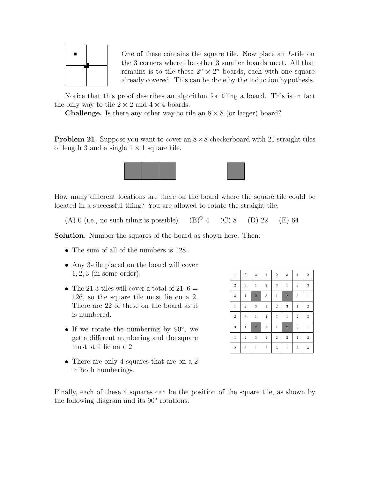

One of these contains the square tile. Now place an L-tile on the 3 corners where the other 3 smaller boards meet. All that remains is to tile these  $2^n \times 2^n$  boards, each with one square already covered. This can be done by the induction hypothesis.

Notice that this proof describes an algorithm for tiling a board. This is in fact the only way to tile  $2 \times 2$  and  $4 \times 4$  boards.

**Challenge.** Is there any other way to tile an  $8 \times 8$  (or larger) board?

**Problem 21.** Suppose you want to cover an  $8 \times 8$  checkerboard with 21 straight tiles of length 3 and a single  $1 \times 1$  square tile.



How many different locations are there on the board where the square tile could be located in a successful tiling? You are allowed to rotate the straight tile.

(A) 0 (i.e., no such tiling is possible) (B)<sup> $\heartsuit$ </sup> 4 (C) 8 (D) 22 (E) 64

Solution. Number the squares of the board as shown here. Then:

- The sum of all of the numbers is 128.
- Any 3-tile placed on the board will cover  $1, 2, 3$  (in some order).
- The 21 3-tiles will cover a total of  $21 \cdot 6 =$ 126, so the square tile must lie on a 2. There are 22 of these on the board as it is numbered.
- If we rotate the numbering by 90°, we get a different numbering and the square must still lie on a 2.
- There are only 4 squares that are on a 2 in both numberings.

| $\,1$      | $\overline{2}$ | 3              | $\,1$      | $\,2$          | 3              | $\,1$       | $\sqrt{2}$ |
|------------|----------------|----------------|------------|----------------|----------------|-------------|------------|
| $\,2$      | 3              | $\,1$          | $\,2\,$    | 3              | $\,1$          | $\sqrt{2}$  | 3          |
| $\sqrt{3}$ | $\,1$          | $\overline{2}$ | $\sqrt{3}$ | $\,1$          | $\overline{2}$ | 3           | $\,1\,$    |
| $\,1\,$    | $\overline{2}$ | 3              | $\,1$      | $\overline{2}$ | 3              | $\mathbf 1$ | $\sqrt{2}$ |
| $\,2$      | $\sqrt{3}$     | $\,1\,$        | $\,2\,$    | $\sqrt{3}$     | $\,1$          | $\,2$       | 3          |
| $\sqrt{3}$ | $\mathbf{1}$   | $\overline{2}$ | 3          | $\,1\,$        | $\sqrt{2}$     | 3           | $\,1$      |
| $\,1\,$    | $\,2$          | 3              | $\,1$      | $\,2$          | 3              | $\,1$       | $\sqrt{2}$ |
| $\,2$      | 3              | $\,1\,$        | $\,2$      | 3              | $\,1\,$        | $\sqrt{2}$  | $\sqrt{3}$ |

Finally, each of these 4 squares can be the position of the square tile, as shown by the following diagram and its 90◦ rotations: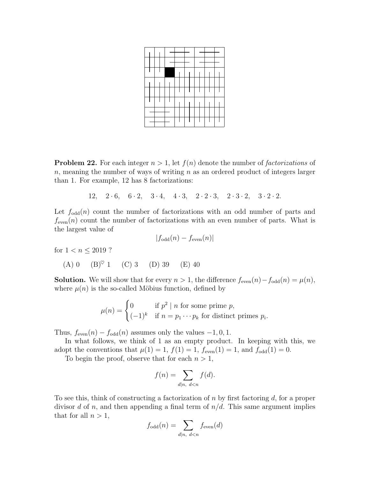<span id="page-12-0"></span>**Problem 22.** For each integer  $n > 1$ , let  $f(n)$  denote the number of *factorizations* of n, meaning the number of ways of writing  $n$  as an ordered product of integers larger than 1. For example, 12 has 8 factorizations:

12,  $2 \cdot 6$ ,  $6 \cdot 2$ ,  $3 \cdot 4$ ,  $4 \cdot 3$ ,  $2 \cdot 2 \cdot 3$ ,  $2 \cdot 3 \cdot 2$ ,  $3 \cdot 2 \cdot 2$ .

Let  $f_{odd}(n)$  count the number of factorizations with an odd number of parts and  $f_{\text{even}}(n)$  count the number of factorizations with an even number of parts. What is the largest value of

$$
|f_{\text{odd}}(n) - f_{\text{even}}(n)|
$$

for  $1 < n \leq 2019$ ?

(A) 0 (B)♥ 1 (C) 3 (D) 39 (E) 40

**Solution.** We will show that for every  $n > 1$ , the difference  $f_{even}(n) - f_{odd}(n) = \mu(n)$ , where  $\mu(n)$  is the so-called Möbius function, defined by

$$
\mu(n) = \begin{cases} 0 & \text{if } p^2 \mid n \text{ for some prime } p, \\ (-1)^k & \text{if } n = p_1 \cdots p_k \text{ for distinct primes } p_i. \end{cases}
$$

Thus,  $f_{even}(n) - f_{odd}(n)$  assumes only the values  $-1, 0, 1$ .

In what follows, we think of 1 as an empty product. In keeping with this, we adopt the conventions that  $\mu(1) = 1$ ,  $f(1) = 1$ ,  $f_{even}(1) = 1$ , and  $f_{odd}(1) = 0$ .

To begin the proof, observe that for each  $n > 1$ ,

$$
f(n) = \sum_{d|n, d < n} f(d).
$$

To see this, think of constructing a factorization of n by first factoring  $d$ , for a proper divisor d of n, and then appending a final term of  $n/d$ . This same argument implies that for all  $n > 1$ ,

$$
f_{\text{odd}}(n) = \sum_{d|n, d \le n} f_{\text{even}}(d)
$$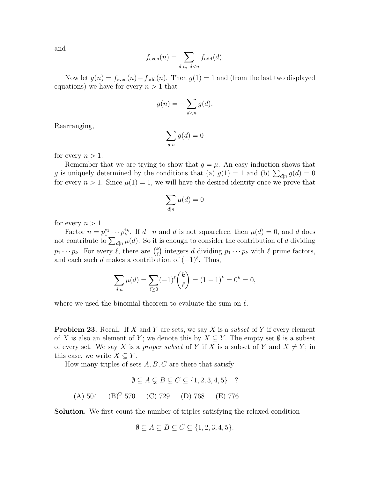and

$$
f_{\text{even}}(n) = \sum_{d|n, d \le n} f_{\text{odd}}(d).
$$

Now let  $g(n) = f_{even}(n) - f_{odd}(n)$ . Then  $g(1) = 1$  and (from the last two displayed equations) we have for every  $n > 1$  that

$$
g(n) = -\sum_{d < n} g(d).
$$

Rearranging,

$$
\sum_{d|n} g(d) = 0
$$

for every  $n > 1$ .

Remember that we are trying to show that  $g = \mu$ . An easy induction shows that g is uniquely determined by the conditions that (a)  $g(1) = 1$  and (b)  $\sum_{d|n} g(d) = 0$ for every  $n > 1$ . Since  $\mu(1) = 1$ , we will have the desired identity once we prove that

$$
\sum_{d|n}\mu(d)=0
$$

for every  $n > 1$ .

Factor  $n = p_1^{e_1} \cdots p_k^{e_k}$ . If  $d | n$  and  $d$  is not squarefree, then  $\mu(d) = 0$ , and  $d$  does not contribute to  $\sum_{d|n} \mu(d)$ . So it is enough to consider the contribution of d dividing  $p_1 \cdots p_k$ . For every  $\ell$ , there are  $\binom{k}{k}$  $\ell$ ) integers d dividing  $p_1 \cdots p_k$  with  $\ell$  prime factors, and each such d makes a contribution of  $(-1)^{\ell}$ . Thus,

$$
\sum_{d|n} \mu(d) = \sum_{\ell \ge 0} (-1)^{\ell} {k \choose \ell} = (1-1)^k = 0^k = 0,
$$

where we used the binomial theorem to evaluate the sum on  $\ell$ .

**Problem 23.** Recall: If X and Y are sets, we say X is a *subset* of Y if every element of X is also an element of Y; we denote this by  $X \subseteq Y$ . The empty set  $\emptyset$  is a subset of every set. We say X is a proper subset of Y if X is a subset of Y and  $X \neq Y$ ; in this case, we write  $X \subsetneq Y$ .

How many triples of sets  $A, B, C$  are there that satisfy

$$
\emptyset \subseteq A \subsetneq B \subsetneq C \subseteq \{1, 2, 3, 4, 5\} \quad ?
$$
  
(A) 504 (B)<sup>°</sup> 570 (C) 729 (D) 768 (E) 776

Solution. We first count the number of triples satisfying the relaxed condition

$$
\emptyset \subseteq A \subseteq B \subseteq C \subseteq \{1, 2, 3, 4, 5\}.
$$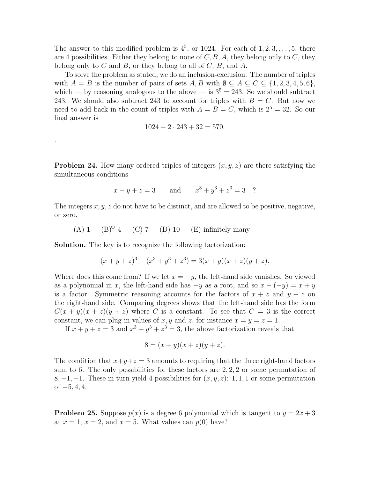The answer to this modified problem is  $4^5$ , or 1024. For each of  $1, 2, 3, \ldots, 5$ , there are 4 possibilities. Either they belong to none of  $C, B, A$ , they belong only to  $C$ , they belong only to  $C$  and  $B$ , or they belong to all of  $C$ ,  $B$ , and  $A$ .

To solve the problem as stated, we do an inclusion-exclusion. The number of triples with  $A = B$  is the number of pairs of sets  $A, B$  with  $\emptyset \subseteq A \subseteq C \subseteq \{1, 2, 3, 4, 5, 6\},\$ which — by reasoning analogous to the above — is  $3^5 = 243$ . So we should subtract 243. We should also subtract 243 to account for triples with  $B = C$ . But now we need to add back in the count of triples with  $A = B = C$ , which is  $2^5 = 32$ . So our final answer is

$$
1024 - 2 \cdot 243 + 32 = 570.
$$

<span id="page-14-0"></span>**Problem 24.** How many ordered triples of integers  $(x, y, z)$  are there satisfying the simultaneous conditions

$$
x + y + z = 3
$$
 and  $x^3 + y^3 + z^3 = 3$ ?

The integers  $x, y, z$  do not have to be distinct, and are allowed to be positive, negative, or zero.

(A) 1 (B)<sup> $\heartsuit$ </sup> 4 (C) 7 (D) 10 (E) infinitely many

Solution. The key is to recognize the following factorization:

.

$$
(x + y + z)3 - (x3 + y3 + z3) = 3(x + y)(x + z)(y + z).
$$

Where does this come from? If we let  $x = -y$ , the left-hand side vanishes. So viewed as a polynomial in x, the left-hand side has  $-y$  as a root, and so  $x - (-y) = x + y$ is a factor. Symmetric reasoning accounts for the factors of  $x + z$  and  $y + z$  on the right-hand side. Comparing degrees shows that the left-hand side has the form  $C(x + y)(x + z)(y + z)$  where C is a constant. To see that  $C = 3$  is the correct constant, we can plug in values of x, y and z, for instance  $x = y = z = 1$ .

If  $x + y + z = 3$  and  $x^3 + y^3 + z^3 = 3$ , the above factorization reveals that

$$
8 = (x + y)(x + z)(y + z).
$$

The condition that  $x+y+z=3$  amounts to requiring that the three right-hand factors sum to 6. The only possibilities for these factors are  $2, 2, 2$  or some permutation of 8, -1, -1. These in turn yield 4 possibilities for  $(x, y, z)$ : 1, 1, 1 or some permutation of  $-5, 4, 4$ .

**Problem 25.** Suppose  $p(x)$  is a degree 6 polynomial which is tangent to  $y = 2x + 3$ at  $x = 1$ ,  $x = 2$ , and  $x = 5$ . What values can  $p(0)$  have?